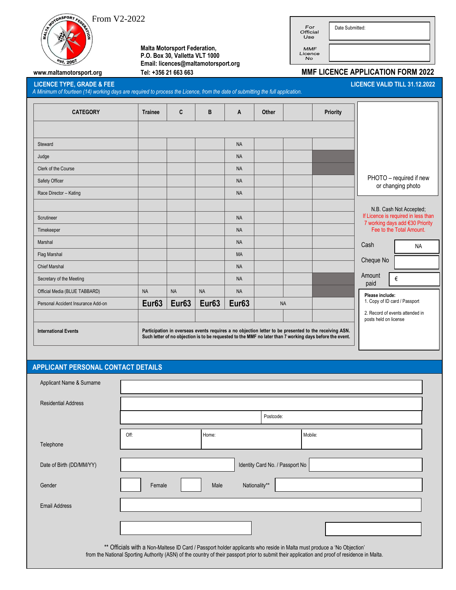$\overbrace{\text{from V2-2022}}$ 



 **Malta Motorsport Federation, P.O. Box 30, Valletta VLT 1000 Email: licences@maltamotorsport.org**

| For<br>Official<br>Use | Date Submitted: |
|------------------------|-----------------|
|------------------------|-----------------|

MMF<br>Licence<br>No

## **www.maltamotorsport.org Tel: +356 21 663 663 MMF LICENCE APPLICATION FORM 2022**

 $\overline{a}$ 

**LICENCE TYPE, GRADE & FEE LICENCE VALID TILL 31.12.2022**

*A Minimum of fourteen (14) working days are required to process the Licence, from the date of submitting the full application.* 

| <b>CATEGORY</b>                                                                                                                                                                                                                                  | <b>Trainee</b>    | C                 | B                 | A                 | Other     | <b>Priority</b> |                                                                                                    |  |
|--------------------------------------------------------------------------------------------------------------------------------------------------------------------------------------------------------------------------------------------------|-------------------|-------------------|-------------------|-------------------|-----------|-----------------|----------------------------------------------------------------------------------------------------|--|
|                                                                                                                                                                                                                                                  |                   |                   |                   |                   |           |                 |                                                                                                    |  |
| Steward                                                                                                                                                                                                                                          |                   |                   |                   | <b>NA</b>         |           |                 |                                                                                                    |  |
| Judge                                                                                                                                                                                                                                            |                   |                   |                   | <b>NA</b>         |           |                 |                                                                                                    |  |
| Clerk of the Course                                                                                                                                                                                                                              |                   |                   |                   | <b>NA</b>         |           |                 |                                                                                                    |  |
| Safety Officer                                                                                                                                                                                                                                   |                   |                   |                   | <b>NA</b>         |           |                 | PHOTO - required if new<br>or changing photo                                                       |  |
| Race Director - Kating                                                                                                                                                                                                                           |                   |                   |                   | <b>NA</b>         |           |                 |                                                                                                    |  |
|                                                                                                                                                                                                                                                  |                   |                   |                   |                   |           |                 | N.B. Cash Not Accepted;                                                                            |  |
| Scrutineer                                                                                                                                                                                                                                       |                   |                   |                   | <b>NA</b>         |           |                 | If Licence is required in less than<br>7 working days add €30 Priority<br>Fee to the Total Amount. |  |
| Timekeeper                                                                                                                                                                                                                                       |                   |                   |                   | <b>NA</b>         |           |                 |                                                                                                    |  |
| Marshal                                                                                                                                                                                                                                          |                   |                   |                   | <b>NA</b>         |           |                 | Cash<br><b>NA</b>                                                                                  |  |
| Flag Marshal                                                                                                                                                                                                                                     |                   |                   |                   | <b>MA</b>         |           |                 |                                                                                                    |  |
| <b>Chief Marshal</b>                                                                                                                                                                                                                             |                   |                   |                   | <b>NA</b>         |           |                 | Cheque No                                                                                          |  |
| Secretary of the Meeting                                                                                                                                                                                                                         |                   |                   |                   | <b>NA</b>         |           |                 | Amount<br>€<br>paid                                                                                |  |
| Official Media (BLUE TABBARD)                                                                                                                                                                                                                    | <b>NA</b>         | <b>NA</b>         | <b>NA</b>         | <b>NA</b>         |           |                 | Please include:                                                                                    |  |
| Personal Accident Insurance Add-on                                                                                                                                                                                                               | Eur <sub>63</sub> | Eur <sub>63</sub> | Eur <sub>63</sub> | Eur <sub>63</sub> | <b>NA</b> |                 | 1. Copy of ID card / Passport                                                                      |  |
|                                                                                                                                                                                                                                                  |                   |                   |                   |                   |           |                 | 2. Record of events attended in<br>posts held on license                                           |  |
| Participation in overseas events requires a no objection letter to be presented to the receiving ASN.<br><b>International Events</b><br>Such letter of no objection is to be requested to the MMF no later than 7 working days before the event. |                   |                   |                   |                   |           |                 |                                                                                                    |  |

## **APPLICANT PERSONAL CONTACT DETAILS**

| Applicant Name & Surname                                                                                                                                                                                                                                                 |           |                       |                                 |         |  |  |  |
|--------------------------------------------------------------------------------------------------------------------------------------------------------------------------------------------------------------------------------------------------------------------------|-----------|-----------------------|---------------------------------|---------|--|--|--|
| <b>Residential Address</b>                                                                                                                                                                                                                                               |           |                       |                                 |         |  |  |  |
|                                                                                                                                                                                                                                                                          | Postcode: |                       |                                 |         |  |  |  |
| Telephone                                                                                                                                                                                                                                                                | Off:      | Home:                 |                                 | Mobile: |  |  |  |
|                                                                                                                                                                                                                                                                          |           |                       |                                 |         |  |  |  |
| Date of Birth (DD/MM/YY)                                                                                                                                                                                                                                                 |           |                       | Identity Card No. / Passport No |         |  |  |  |
| Gender                                                                                                                                                                                                                                                                   | Female    | Nationality**<br>Male |                                 |         |  |  |  |
| <b>Email Address</b>                                                                                                                                                                                                                                                     |           |                       |                                 |         |  |  |  |
|                                                                                                                                                                                                                                                                          |           |                       |                                 |         |  |  |  |
| ** Officials with a Non-Maltese ID Card / Passport holder applicants who reside in Malta must produce a 'No Objection'<br>from the National Sporting Authority (ASN) of the country of their passport prior to submit their application and proof of residence in Malta. |           |                       |                                 |         |  |  |  |